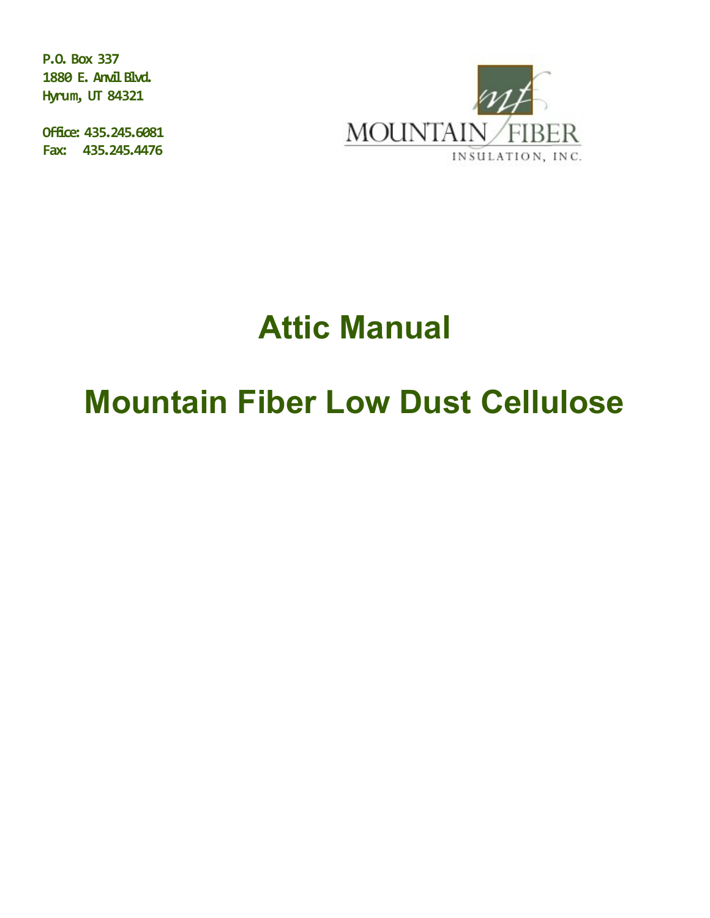**P.O. Box 337 1880 E. Anvil Blvd. Hyrum, UT 84321**

**Office: 435.245.6081 Fax: 435.245.4476** 



# **Attic Manual**

# **Mountain Fiber Low Dust Cellulose**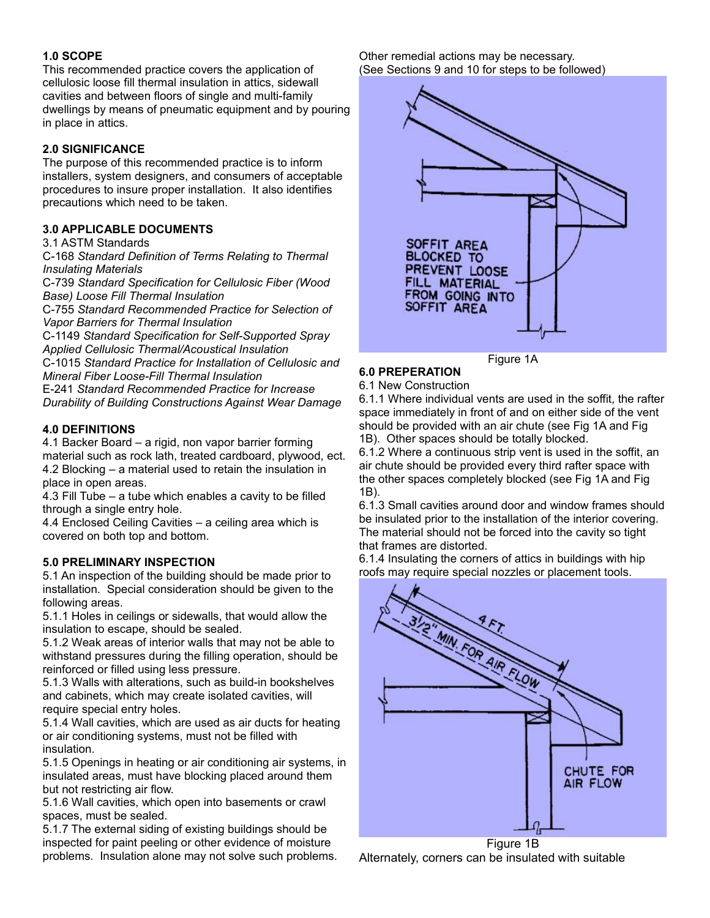#### **1.0 SCOPE**

This recommended practice covers the application of cellulosic loose fill thermal insulation in attics, sidewall cavities and between floors of single and multi-family dwellings by means of pneumatic equipment and by pouring in place in attics.

#### **2.0 SIGNIFICANCE**

The purpose of this recommended practice is to inform installers, system designers, and consumers of acceptable procedures to insure proper installation. It also identifies precautions which need to be taken.

#### **3.0 APPLICABLE DOCUMENTS**

3.1 ASTM Standards

C-168 *Standard Definition of Terms Relating to Thermal Insulating Materials*

C-739 *Standard Specification for Cellulosic Fiber (Wood Base) Loose Fill Thermal Insulation*

C-755 *Standard Recommended Practice for Selection of Vapor Barriers for Thermal Insulation*

C-1149 *Standard Specification for Self-Supported Spray Applied Cellulosic Thermal/Acoustical Insulation*

C-1015 *Standard Practice for Installation of Cellulosic and Mineral Fiber Loose-Fill Thermal Insulation*

E-241 *Standard Recommended Practice for Increase Durability of Building Constructions Against Wear Damage*

#### **4.0 DEFINITIONS**

4.1 Backer Board – a rigid, non vapor barrier forming material such as rock lath, treated cardboard, plywood, ect. 4.2 Blocking – a material used to retain the insulation in place in open areas.

4.3 Fill Tube – a tube which enables a cavity to be filled through a single entry hole.

4.4 Enclosed Ceiling Cavities – a ceiling area which is covered on both top and bottom.

#### **5.0 PRELIMINARY INSPECTION**

5.1 An inspection of the building should be made prior to installation. Special consideration should be given to the following areas.

5.1.1 Holes in ceilings or sidewalls, that would allow the insulation to escape, should be sealed.

5.1.2 Weak areas of interior walls that may not be able to withstand pressures during the filling operation, should be reinforced or filled using less pressure.

5.1.3 Walls with alterations, such as build-in bookshelves and cabinets, which may create isolated cavities, will require special entry holes.

5.1.4 Wall cavities, which are used as air ducts for heating or air conditioning systems, must not be filled with insulation.

5.1.5 Openings in heating or air conditioning air systems, in insulated areas, must have blocking placed around them but not restricting air flow.

5.1.6 Wall cavities, which open into basements or crawl spaces, must be sealed.

5.1.7 The external siding of existing buildings should be inspected for paint peeling or other evidence of moisture problems. Insulation alone may not solve such problems. Other remedial actions may be necessary. (See Sections 9 and 10 for steps to be followed)



Figure 1A

## **6.0 PREPERATION**

6.1 New Construction

6.1.1 Where individual vents are used in the soffit, the rafter space immediately in front of and on either side of the vent should be provided with an air chute (see Fig 1A and Fig 1B). Other spaces should be totally blocked.

6.1.2 Where a continuous strip vent is used in the soffit, an air chute should be provided every third rafter space with the other spaces completely blocked (see Fig 1A and Fig 1B).

6.1.3 Small cavities around door and window frames should be insulated prior to the installation of the interior covering. The material should not be forced into the cavity so tight that frames are distorted.

6.1.4 Insulating the corners of attics in buildings with hip roofs may require special nozzles or placement tools.



Figure 1B Alternately, corners can be insulated with suitable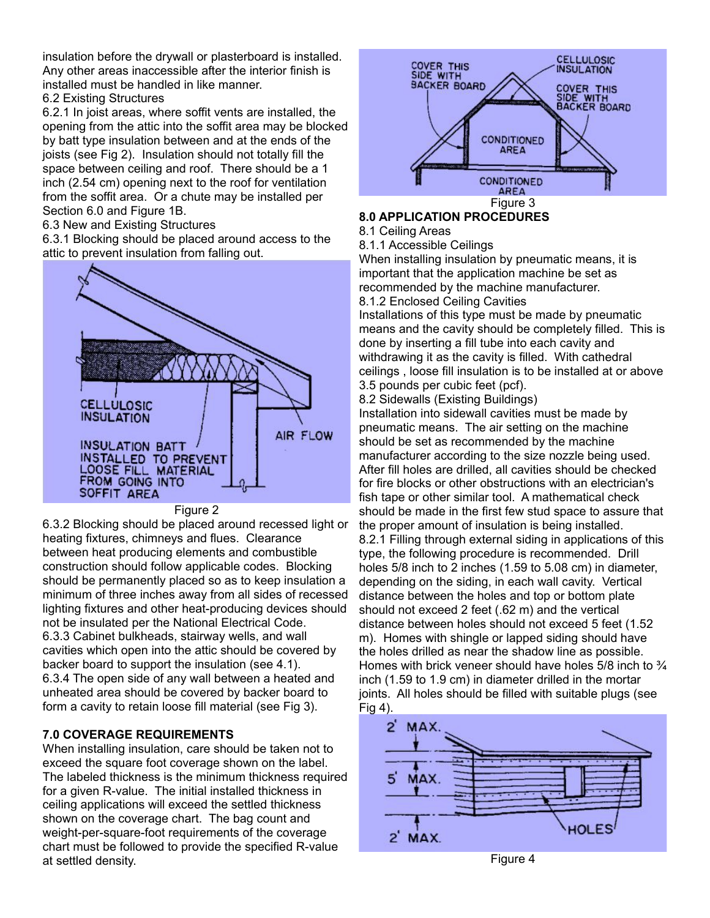insulation before the drywall or plasterboard is installed. Any other areas inaccessible after the interior finish is installed must be handled in like manner.

#### 6.2 Existing Structures

6.2.1 In joist areas, where soffit vents are installed, the opening from the attic into the soffit area may be blocked by batt type insulation between and at the ends of the joists (see Fig 2). Insulation should not totally fill the space between ceiling and roof. There should be a 1 inch (2.54 cm) opening next to the roof for ventilation from the soffit area. Or a chute may be installed per Section 6.0 and Figure 1B.

6.3 New and Existing Structures

6.3.1 Blocking should be placed around access to the attic to prevent insulation from falling out.



#### Figure 2

6.3.2 Blocking should be placed around recessed light or heating fixtures, chimneys and flues. Clearance between heat producing elements and combustible construction should follow applicable codes. Blocking should be permanently placed so as to keep insulation a minimum of three inches away from all sides of recessed lighting fixtures and other heat-producing devices should not be insulated per the National Electrical Code. 6.3.3 Cabinet bulkheads, stairway wells, and wall cavities which open into the attic should be covered by backer board to support the insulation (see 4.1). 6.3.4 The open side of any wall between a heated and unheated area should be covered by backer board to form a cavity to retain loose fill material (see Fig 3).

### **7.0 COVERAGE REQUIREMENTS**

When installing insulation, care should be taken not to exceed the square foot coverage shown on the label. The labeled thickness is the minimum thickness required for a given R-value. The initial installed thickness in ceiling applications will exceed the settled thickness shown on the coverage chart. The bag count and weight-per-square-foot requirements of the coverage chart must be followed to provide the specified R-value at settled density.



## **8.0 APPLICATION PROCEDURES**

### 8.1 Ceiling Areas

8.1.1 Accessible Ceilings

When installing insulation by pneumatic means, it is important that the application machine be set as recommended by the machine manufacturer.

8.1.2 Enclosed Ceiling Cavities

Installations of this type must be made by pneumatic means and the cavity should be completely filled. This is done by inserting a fill tube into each cavity and withdrawing it as the cavity is filled. With cathedral ceilings , loose fill insulation is to be installed at or above 3.5 pounds per cubic feet (pcf).

8.2 Sidewalls (Existing Buildings)

Installation into sidewall cavities must be made by pneumatic means. The air setting on the machine should be set as recommended by the machine manufacturer according to the size nozzle being used. After fill holes are drilled, all cavities should be checked for fire blocks or other obstructions with an electrician's fish tape or other similar tool. A mathematical check should be made in the first few stud space to assure that the proper amount of insulation is being installed.

8.2.1 Filling through external siding in applications of this type, the following procedure is recommended. Drill holes 5/8 inch to 2 inches (1.59 to 5.08 cm) in diameter, depending on the siding, in each wall cavity. Vertical distance between the holes and top or bottom plate should not exceed 2 feet (.62 m) and the vertical distance between holes should not exceed 5 feet (1.52 m). Homes with shingle or lapped siding should have the holes drilled as near the shadow line as possible. Homes with brick veneer should have holes  $5/8$  inch to  $\frac{3}{4}$ inch (1.59 to 1.9 cm) in diameter drilled in the mortar joints. All holes should be filled with suitable plugs (see Fig 4).



Figure 4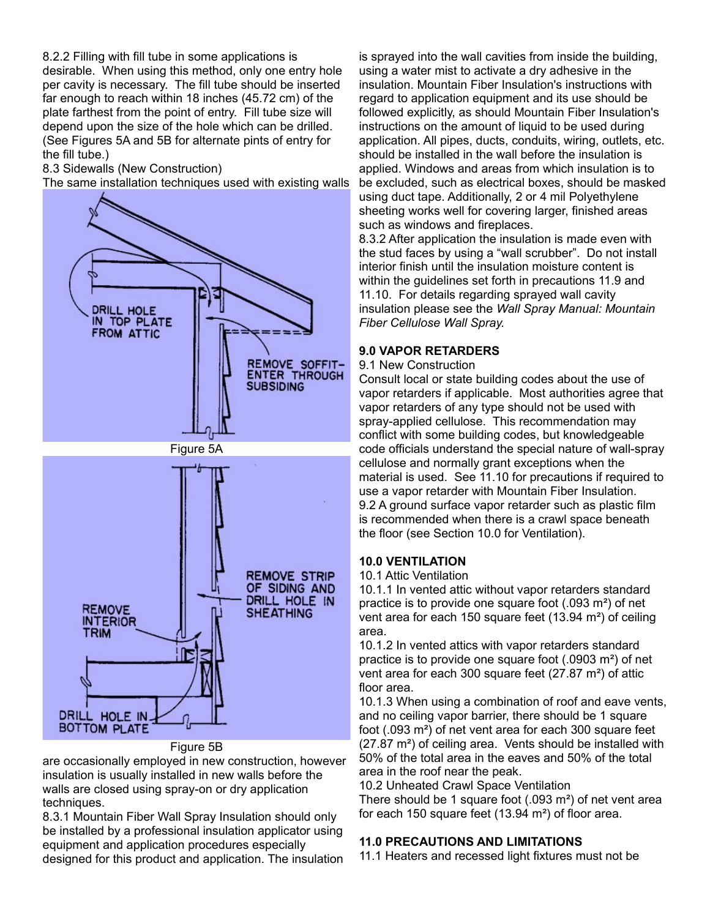8.2.2 Filling with fill tube in some applications is desirable. When using this method, only one entry hole per cavity is necessary. The fill tube should be inserted far enough to reach within 18 inches (45.72 cm) of the plate farthest from the point of entry. Fill tube size will depend upon the size of the hole which can be drilled. (See Figures 5A and 5B for alternate pints of entry for the fill tube.)

8.3 Sidewalls (New Construction)

The same installation techniques used with existing walls



Figure 5B

are occasionally employed in new construction, however insulation is usually installed in new walls before the walls are closed using spray-on or dry application techniques.

8.3.1 Mountain Fiber Wall Spray Insulation should only be installed by a professional insulation applicator using equipment and application procedures especially designed for this product and application. The insulation

is sprayed into the wall cavities from inside the building, using a water mist to activate a dry adhesive in the insulation. Mountain Fiber Insulation's instructions with regard to application equipment and its use should be followed explicitly, as should Mountain Fiber Insulation's instructions on the amount of liquid to be used during application. All pipes, ducts, conduits, wiring, outlets, etc. should be installed in the wall before the insulation is applied. Windows and areas from which insulation is to be excluded, such as electrical boxes, should be masked using duct tape. Additionally, 2 or 4 mil Polyethylene sheeting works well for covering larger, finished areas such as windows and fireplaces.

8.3.2 After application the insulation is made even with the stud faces by using a "wall scrubber". Do not install interior finish until the insulation moisture content is within the guidelines set forth in precautions 11.9 and 11.10. For details regarding sprayed wall cavity insulation please see the *Wall Spray Manual: Mountain Fiber Cellulose Wall Spray.*

#### **9.0 VAPOR RETARDERS**

9.1 New Construction

Consult local or state building codes about the use of vapor retarders if applicable. Most authorities agree that vapor retarders of any type should not be used with spray-applied cellulose. This recommendation may conflict with some building codes, but knowledgeable code officials understand the special nature of wall-spray cellulose and normally grant exceptions when the material is used. See 11.10 for precautions if required to use a vapor retarder with Mountain Fiber Insulation. 9.2 A ground surface vapor retarder such as plastic film is recommended when there is a crawl space beneath the floor (see Section 10.0 for Ventilation).

#### **10.0 VENTILATION**

10.1 Attic Ventilation

10.1.1 In vented attic without vapor retarders standard practice is to provide one square foot (.093 m²) of net vent area for each 150 square feet (13.94 m²) of ceiling area.

10.1.2 In vented attics with vapor retarders standard practice is to provide one square foot (.0903 m²) of net vent area for each 300 square feet (27.87 m²) of attic floor area.

10.1.3 When using a combination of roof and eave vents, and no ceiling vapor barrier, there should be 1 square foot (.093 m²) of net vent area for each 300 square feet (27.87 m²) of ceiling area. Vents should be installed with 50% of the total area in the eaves and 50% of the total area in the roof near the peak.

10.2 Unheated Crawl Space Ventilation

There should be 1 square foot (.093 m²) of net vent area for each 150 square feet  $(13.94 \text{ m}^2)$  of floor area.

#### **11.0 PRECAUTIONS AND LIMITATIONS**

11.1 Heaters and recessed light fixtures must not be